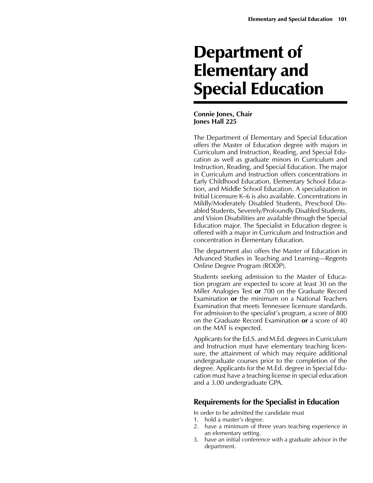# Department of Elementary and Special Education

# **Connie Jones, Chair Jones Hall 225**

The Department of Elementary and Special Education offers the Master of Education degree with majors in Curriculum and Instruction, Reading, and Special Education as well as graduate minors in Curriculum and Instruction, Reading, and Special Education. The major in Curriculum and Instruction offers concentrations in Early Childhood Education, Elementary School Education, and Middle School Education. A specialization in Initial Licensure K–6 is also available. Concentrations in Mildly/Moderately Disabled Students, Preschool Disabled Students, Severely/Profoundly Disabled Students, and Vision Disabilities are available through the Special Education major. The Specialist in Education degree is offered with a major in Curriculum and Instruction and concentration in Elementary Education.

The department also offers the Master of Education in Advanced Studies in Teaching and Learning—Regents Online Degree Program (RODP).

Students seeking admission to the Master of Education program are expected to score at least 30 on the Miller Analogies Test **or** 700 on the Graduate Record Examination **or** the minimum on a National Teachers Examination that meets Tennessee licensure standards. For admission to the specialist's program, a score of 800 on the Graduate Record Examination **or** a score of 40 on the MAT is expected.

Applicants for the Ed.S. and M.Ed. degrees in Curriculum and Instruction must have elementary teaching licensure, the attainment of which may require additional undergraduate courses prior to the completion of the degree. Applicants for the M.Ed. degree in Special Education must have a teaching license in special education and a 3.00 undergraduate GPA.

# **Requirements for the Specialist in Education**

In order to be admitted the candidate must

- 1. hold a master's degree.
- 2. have a minimum of three years teaching experience in an elementary setting.
- 3. have an initial conference with a graduate advisor in the department.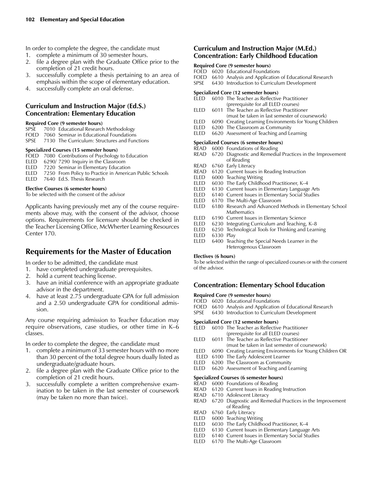In order to complete the degree, the candidate must

- 1. complete a minimum of 30 semester hours.
- 2. file a degree plan with the Graduate Office prior to the completion of 21 credit hours.
- 3. successfully complete a thesis pertaining to an area of emphasis within the scope of elementary education.
- 4. successfully complete an oral defense.

# **Curriculum and Instruction Major (Ed.S.) Concentration: Elementary Education**

#### **Required Core (9 semester hours)**

- SPSE 7010 Educational Research Methodology
- FOED 7060 Seminar in Educational Foundations<br>SPSE 7130 The Curriculum: Structures and Func 7130 The Curriculum: Structures and Functions

#### **Specialized Courses (15 semester hours)**

- FOED 7080 Contributions of Psychology to Education
- ELED 6290/ 7290 Inquiry in the Classroom
- ELED 7220 Seminar in Elementary Education
- ELED 7250 From Policy to Practice in American Public Schools<br>ELED 7640 Ed.S. Thesis Research
- 7640 Ed.S. Thesis Research

#### **Elective Courses (6 semester hours)**

To be selected with the consent of the advisor

Applicants having previously met any of the course requirements above may, with the consent of the advisor, choose options. Requirements for licensure should be checked in the Teacher Licensing Office, McWherter Learning Resources Center 170.

# **Requirements for the Master of Education**

In order to be admitted, the candidate must

- 1. have completed undergraduate prerequisites.
- 2. hold a current teaching license.
- 3. have an initial conference with an appropriate graduate advisor in the department.
- 4. have at least 2.75 undergraduate GPA for full admission and a 2.50 undergraduate GPA for conditional admission.

Any course requiring admission to Teacher Education may require observations, case studies, or other time in K–6 classes.

In order to complete the degree, the candidate must

- 1. complete a minimum of 33 semester hours with no more than 30 percent of the total degree hours dually listed as undergraduate/graduate hours.
- 2. file a degree plan with the Graduate Office prior to the completion of 21 credit hours.
- 3. successfully complete a written comprehensive examination to be taken in the last semester of coursework (may be taken no more than twice).

# **Curriculum and Instruction Major (M.Ed.) Concentration: Early Childhood Education**

#### **Required Core (9 semester hours)**

FOED 6020 Educational Foundations

- FOED 6610 Analysis and Application of Educational Research
- SPSE 6430 Introduction to Curriculum Development

#### **Specialized Core (12 semester hours)**

- ELED 6010 The Teacher as Reflective Practitioner (prerequisite for all ELED courses)<br>FLED 6011 The Teacher as Reflective Practition
- 6011 The Teacher as Reflective Practitioner (must be taken in last semester of coursework)
- ELED 6090 Creating Learning Environments for Young Children<br>ELED 6200 The Classroom as Community
- ELED 6200 The Classroom as Community<br>ELED 6620 Assessment of Teaching and Le
- 6620 Assessment of Teaching and Learning

#### **Specialized Courses (6 semester hours)**

- READ 6000 Foundations of Reading READ 6720 Diagnostic and Remedial Practices in the Improvement
- of Reading<br>READ 6760 Early Litera
- READ 6760 Early Literacy<br>READ 6120 Current Issues
- 6120 Current Issues in Reading Instruction
- ELED 6000 Teaching Writing
- ELED 6030 The Early Childhood Practitioner, K-4
- ELED 6130 Current Issues in Elementary Language Arts
- ELED 6140 Current Issues in Elementary Social Studies
- ELED 6170 The Multi-Age Classroom<br>ELED 6180 Research and Advanced N
- 6180 Research and Advanced Methods in Elementary School Mathematics<br>ELED 6190 Current Issue
- 6190 Current Issues in Elementary Science
- ELED  $6230$  Integrating Curriculum and Teaching, K–8
- ELED 6250 Technological Tools for Thinking and Learning<br>ELED 6330 Play
- 6330 Play
- ELED 6400 Teaching the Special Needs Learner in the Heterogenous Classroom

#### **Electives (6 hours)**

To be selected within the range of specialized courses or with the consent of the advisor.

## **Concentration: Elementary School Education**

## **Required Core (9 semester hours)**

- FOED 6020 Educational Foundations
- FOED 6610 Analysis and Application of Educational Research<br>SPSE 6430 Introduction to Curriculum Development
- 6430 Introduction to Curriculum Development

#### **Specialized Core (12 semester hours)**

- ELED 6010 The Teacher as Reflective Practitioner (prerequisite for all ELED courses)
- ELED 6011 The Teacher as Reflective Practitioner
- (must be taken in last semester of coursework)<br>ELED 6090 Creating Learning Environments for Young Chil 6090 Creating Learning Environments for Young Children OR
- ELED 6100 The Early Adolescent Learner
- 
- ELED 6200 The Classroom as Community<br>ELED 6620 Assessment of Teaching and Le 6620 Assessment of Teaching and Learning
- 

#### **Specialized Courses (6 semester hours)** READ 6000 Foundations of Reading

- READ 6120 Current Issues in Reading Instruction
- READ 6710 Adolescent Literacy
- 
- READ 6720 Diagnostic and Remedial Practices in the Improvement of Reading
- READ 6760 Early Literacy
- ELED 6000 Teaching Writing
- ELED 6030 The Early Childhood Practitioner, K-4
- ELED 6130 Current Issues in Elementary Language Arts
- 
- ELED 6140 Current Issues in Elementary Social Studies ELED 6170 The Multi-Age Classroom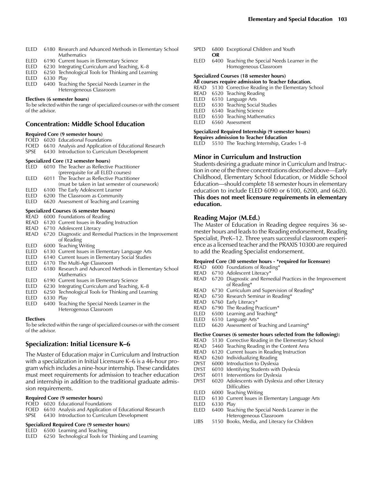- ELED 6180 Research and Advanced Methods in Elementary School **Mathematics**
- ELED 6190 Current Issues in Elementary Science<br>ELED 6230 Integrating Curriculum and Teaching
- 6230 Integrating Curriculum and Teaching, K-8
- ELED 6250 Technological Tools for Thinking and Learning
- ELED 6330 Play<br>ELED 6400 Teac
- 6400 Teaching the Special Needs Learner in the Heterogeneous Classroom

#### **Electives (6 semester hours)**

To be selected within the range of specialized courses or with the consent of the advisor.

## **Concentration: Middle School Education**

## **Required Core (9 semester hours)**

- FOED 6020 Educational Foundations
- FOED 6610 Analysis and Application of Educational Research<br>SPSE 6430 Introduction to Curriculum Development 6430 Introduction to Curriculum Development

#### **Specialized Core (12 semester hours)**

| $\sigma$ |  |                                                  |
|----------|--|--------------------------------------------------|
|          |  | ELED 6010 The Teacher as Reflective Practitioner |
|          |  | (prerequisite for all ELED courses)              |
| FI FD.   |  | 6011 The Teacher as Reflective Practitioner      |
|          |  | (must be taken in last semester of coursework)   |
|          |  | ELED 6100 The Early Adolescent Learner           |

- ELED 6200 The Classroom as Community
- ELED 6620 Assessment of Teaching and Learning

## **Specialized Courses (6 semester hours)**

- READ 6000 Foundations of Reading
- READ 6120 Current Issues in Reading Instruction
- READ 6710 Adolescent Literacy
- READ 6720 Diagnostic and Remedial Practices in the Improvement of Reading
- ELED 6000 Teaching Writing
- ELED 6130 Current Issues in Elementary Language Arts
- ELED 6140 Current Issues in Elementary Social Studies
- ELED 6170 The Multi-Age Classroom
- ELED 6180 Research and Advanced Methods in Elementary School Mathematics<br>ELED 6190 Current Issue
- 6190 Current Issues in Elementary Science
- ELED 6230 Integrating Curriculum and Teaching, K-8
- ELED 6250 Technological Tools for Thinking and Learning
- 6330 Play
- ELED 6400 Teaching the Special Needs Learner in the Heterogenous Classroom

#### **Electives**

To be selected within the range of specialized courses or with the consent of the advisor.

## **Specialization: Initial Licensure K–6**

The Master of Education major in Curriculum and Instruction with a specialization in Initial Licensure K–6 is a 46-hour program which includes a nine-hour internship. These candidates must meet requirements for admission to teacher education and internship in addition to the traditional graduate admission requirements.

#### **Required Core (9 semester hours)**

- FOED 6020 Educational Foundations
- FOED 6610 Analysis and Application of Educational Research
- SPSE 6430 Introduction to Curriculum Development

#### **Specialized Required Core (9 semester hours)**

#### ELED 6500 Learning and Teaching

ELED 6250 Technological Tools for Thinking and Learning

- SPED 6800 Exceptional Children and Youth **OR**
- ELED 6400 Teaching the Special Needs Learner in the Homogeneous Classroom

#### **Specialized Courses (18 semester hours)**

#### **All courses require admission to Teacher Education.**

- READ 5130 Corrective Reading in the Elementary School
- READ 6520 Teaching Reading
- ELED 6510 Language Arts<br>ELED 6530 Teaching Socia
- 6530 Teaching Social Studies
- ELED 6540 Teaching Science
- ELED 6550 Teaching Mathematics
- ELED 6560 Assessment

#### **Specialized Required Internship (9 semester hours) Requires admission to Teacher Education**

ELED 5510 The Teaching Internship, Grades 1-8

#### **Minor in Curriculum and Instruction**

Students desiring a graduate minor in Curriculum and Instruction in one of the three concentrations described above—Early Childhood, Elementary School Education, or Middle School Education—should complete 18 semester hours in elementary education to include ELED 6090 or 6100, 6200, and 6620. **This does not meet licensure requirements in elementary education.** 

#### **Reading Major (M.Ed.)**

The Master of Education in Reading degree requires 36 semester hours and leads to the Reading endorsement, Reading Specialist, PreK–12. Three years successful classroom experience as a licensed teacher and the PRAXIS 10300 are required to add the Reading Specialist endorsement.

#### **Required Core (30 semester hours - \*required for licensure)**

- READ 6000 Foundations of Reading\*
- READ 6710 Adolescent Literacy\*<br>READ 6720 Diagnostic and Reme
- 6720 Diagnostic and Remedial Practices in the Improvement of Reading\*
- READ 6730 Curriculum and Supervision of Reading\*
- READ 6750 Research Seminar in Reading\*
- READ 6760 Early Literacy\*<br>READ 6790 The Reading P
- 6790 The Reading Practicum\*
- ELED  $6500$  Learning and Teaching\*
- ELED 6510 Language Arts\*
- ELED 6620 Assessment of Teaching and Learning\*

#### **Elective Courses (6 semester hours selected from the following):**

- READ 5130 Corrective Reading in the Elementary School
- READ 5460 Teaching Reading in the Content Area
- READ 6120 Current Issues in Reading Instruction
- READ 6260 Individualizing Reading
- DYST 6000 Introduction to Dyslexia<br>
DYST 6010 Identifying Students with
- 6010 Identifying Students with Dyslexia
- DYST 6011 Interventions for Dyslexia
- DYST 6020 Adolescents with Dyslexia and other Literacy **Difficulties**
- ELED 6000 Teaching Writing
- ELED 6130 Current Issues in Elementary Language Arts
- ELED 6330 Play
- ELED 6400 Teaching the Special Needs Learner in the Heterogeneous Classroom<br>LIBS = 5150, Books, Media, and Literacy
- 5150 Books, Media, and Literacy for Children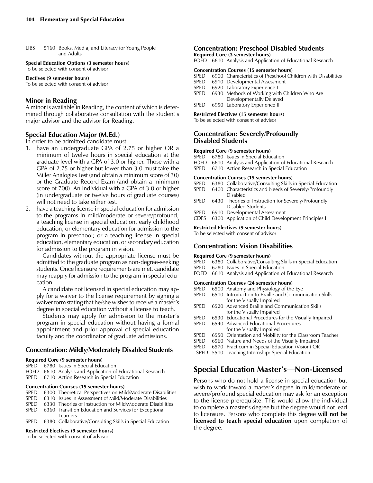LIBS 5160 Books, Media, and Literacy for Young People and Adults

**Special Education Options (3 semester hours)** To be selected with consent of advisor

**Electives (9 semester hours)** To be selected with consent of advisor

# **Minor in Reading**

A minor is available in Reading, the content of which is determined through collaborative consultation with the student's major advisor and the advisor for Reading.

# **Special Education Major (M.Ed.)**

In order to be admitted candidate must

- 1. have an undergraduate GPA of 2.75 or higher OR a minimum of twelve hours in special education at the graduate level with a GPA of 3.0 or higher. Those with a GPA of 2.75 or higher but lower than 3.0 must take the Miller Analogies Test (and obtain a minimum score of 30) or the Graduate Record Exam (and obtain a minimum score of 700). An individual with a GPA of 3.0 or higher (in undergraduate or twelve hours of graduate courses) will not need to take either test.
- 2. have a teaching license in special education for admission to the programs in mild/moderate or severe/profound; a teaching license in special education, early childhood education, or elementary education for admission to the program in preschool; or a teaching license in special education, elementary education, or secondary education for admission to the program in vision.

Candidates without the appropriate license must be admitted to the graduate program as non-degree-seeking students. Once licensure requirements are met, candidate may reapply for admission to the program in special education.

A candidate not licensed in special education may apply for a waiver to the license requirement by signing a waiver form stating that he/she wishes to receive a master's degree in special education without a license to teach.

Students may apply for admission to the master's program in special education without having a formal appointment and prior approval of special education faculty and the coordinator of graduate admissions.

# **Concentration: Mildly/Moderately Disabled Students**

#### **Required Core (9 semester hours)**

- SPED 6780 Issues in Special Education
- FOED 6610 Analysis and Application of Educational Research

SPED 6710 Action Research in Special Education

#### **Concentration Courses (15 semester hours)**

- SPED 6300 Theoretical Perspectives on Mild/Moderate Disabilities
- SPED 6310 Issues in Assessment of Mild/Moderate Disabilities
- SPED 6330 Theories of Instruction for Mild/Moderate Disabilities
- SPED 6360 Transition Education and Services for Exceptional
- Learners<br>SPED 6380 Collabor 6380 Collaborative/Consulting Skills in Special Education

#### **Restricted Electives (9 semester hours)**

To be selected with consent of advisor

## **Concentration: Preschool Disabled Students**

**Required Core (3 semester hours)**

FOED 6610 Analysis and Application of Educational Research

#### **Concentration Courses (15 semester hours)**

SPED 6900 Characteristics of Preschool Children with Disabilities

- 
- SPED 6910 Developmental Assessment<br>SPED 6920 Laboratory Experience I 6920 Laboratory Experience I
- SPED 6930 Methods of Working with Children Who Are
- Developmentally Delayed<br>SPED 6950 Laboratory Experience II 6950 Laboratory Experience II

#### **Restricted Electives (15 semester hours)**

To be selected with consent of advisor

## **Concentration: Severely/Profoundly Disabled Students**

#### **Required Core (9 semester hours)**

- SPED 6780 Issues in Special Education
- FOED 6610 Analysis and Application of Educational Research
- SPED 6710 Action Research in Special Education

#### **Concentration Courses (15 semester hours)**

- SPED 6380 Collaborative/Consulting Skills in Special Education SPED 6400 Characteristics and Needs of Severely/Profoundly
- Disabled<br>SPED 6430 Theories 6430 Theories of Instruction for Severely/Profoundly
- Disabled Students SPED 6910 Developmental Assessment
- CDFS 6300 Application of Child Development Principles I

# **Restricted Electives (9 semester hours)**

To be selected with consent of advisor

## **Concentration: Vision Disabilities**

# **Required Core (9 semester hours)**

- SPED 6380 Collaborative/Consulting Skills in Special Education<br>SPED 6780 Issues in Special Education
- 6780 Issues in Special Education
- FOED 6610 Analysis and Application of Educational Research

#### **Concentration Courses (24 semester hours)**

- SPED 6500 Anatomy and Physiology of the Eye
- SPED 6510 Introduction to Braille and Communication Skills for the Visually Impaired<br>SPED 6520 Advanced Braille and Co
- 6520 Advanced Braille and Communication Skills for the Visually Impaired
- SPED 6530 Educational Procedures for the Visually Impaired
- SPED 6540 Advanced Educational Procedures for the Visually Impaired<br>SPED 6550 Orientation and Mobility
- SPED 6550 Orientation and Mobility for the Classroom Teacher<br>SPED 6560 Nature and Needs of the Visually Impaired
- 6560 Nature and Needs of the Visually Impaired
- SPED 6570 Practicum in Special Education (Vision) OR
- SPED 5510 Teaching Internship: Special Education

# **Special Education Master's—Non-Licensed**

Persons who do not hold a license in special education but wish to work toward a master's degree in mild/moderate or severe/profound special education may ask for an exception to the license prerequisite. This would allow the individual to complete a master's degree but the degree would not lead to licensure. Persons who complete this degree **will not be licensed to teach special education** upon completion of the degree.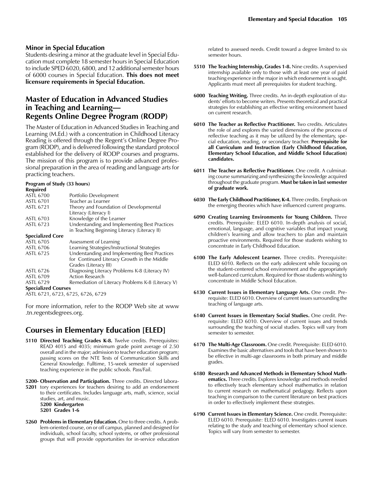## **Minor in Special Education**

Students desiring a minor at the graduate level in Special Education must complete 18 semester hours in Special Education to include SPED 6020, 6800, and 12 additional semester hours of 6000 courses in Special Education. **This does not meet licensure requirements in Special Education.**

# **Master of Education in Advanced Studies in Teaching and Learning— Regents Online Degree Program (RODP)**

The Master of Education in Advanced Studies in Teaching and Learning (M.Ed.) with a concentration in Childhood Literacy Reading is offered through the Regent's Online Degree Program (RODP), and is delivered following the standard protocol established for the delivery of RODP courses and programs. The mission of this program is to provide advanced professional preparation in the area of reading and language arts for practicing teachers.

# **Program of Study (33 hours)**

| Required                          |                                                   |
|-----------------------------------|---------------------------------------------------|
| <b>ASTL 6700</b>                  | Portfolio Development                             |
| <b>ASTL 6701</b>                  | Teacher as Learner                                |
| <b>ASTL 6721</b>                  | Theory and Foundation of Developmental            |
|                                   | Literacy (Literacy I)                             |
| <b>ASTL 6703</b>                  | Knowledge of the Learner                          |
| <b>ASTL 6723</b>                  | Understanding and Implementing Best Practices     |
|                                   | in Teaching Beginning Literacy (Literacy II)      |
| <b>Specialized Core</b>           |                                                   |
| <b>ASTL 6705</b>                  | Assessment of Learning                            |
| ASTL 6706                         | Learning Strategies/Instructional Strategies      |
| <b>ASTL 6725</b>                  | Understanding and Implementing Best Practices     |
|                                   | for Continued Literacy Growth in the Middle       |
|                                   | Grades (Literacy III)                             |
| ASTL 6726                         | Diagnosing Literacy Problems K-8 (Literacy IV)    |
| <b>ASTL 6709</b>                  | Action Research                                   |
| <b>ASTL 6729</b>                  | Remediation of Literacy Problems K-8 (Literacy V) |
| <b>Specialized Courses</b>        |                                                   |
| ASTL 6721, 6723, 6725, 6726, 6729 |                                                   |

For more information, refer to the RODP Web site at www .tn.regentsdegrees.org.

# **Courses in Elementary Education [ELED]**

- **5110 Directed Teaching Grades K-8.** Twelve credits. Prerequisites: READ 4015 and 4035; minimum grade point average of 2.50 overall and in the major; admission to teacher education program; passing scores on the NTE Tests of Communication Skills and General Knowledge. Fulltime, 15-week semester of supervised teaching experience in the public schools. Pass/Fail.
- **5200- Observation and Participation.** Three credits. Directed labora-**5201** tory experiences for teachers desiring to add an endorsement to their certificates. Includes language arts, math, science, social studies, art, and music. **5200 Kindergarten 5201 Grades 1-6**
- **5260 Problems in Elementary Education.** One to three credits. A problem-oriented course, on or off campus, planned and designed for individuals, school faculty, school systems, or other professional groups that will provide opportunities for in-service education

related to assessed needs. Credit toward a degree limited to six semester hours.

- **5510 The Teaching Internship, Grades 1-8.** Nine credits. A supervised internship available only to those with at least one year of paid teaching experience in the major in which endorsement is sought. Applicants must meet all prerequisites for student teaching.
- **6000 Teaching Writing.** Three credits. An in-depth exploration of students' efforts to become writers. Presents theoretical and practical strategies for establishing an effective writing environment based on current research.
- **6010 The Teacher as Reflective Practitioner.** Two credits. Articulates the role of and explores the varied dimensions of the process of reflective teaching as it may be utilized by the elementary, special education, reading, or secondary teacher. **Prerequisite for all Curriculum and Instruction (Early Childhood Education, Elementary School Education, and Middle School Education) candidates.**
- **6011 The Teacher as Reflective Practitioner.** One credit. A culminating course summarizing and synthesizing the knowledge acquired throughout the graduate program. **Must be taken in last semester of graduate work.**
- **6030 The Early Childhood Practitioner, K-4.** Three credits. Emphasis on the emerging theories which have influenced current programs.
- **6090 Creating Learning Environments for Young Children.** Three credits. Prerequisite: ELED 6010. In-depth analysis of social, emotional, language, and cognitive variables that impact young children's learning and allow teachers to plan and maintain proactive environments. Required for those students wishing to concentrate in Early Childhood Education.
- **6100 The Early Adolescent Learner.** Three credits. Prerequisite: ELED 6010. Reflects on the early adolescent while focusing on the student-centered school environment and the appropriately well-balanced curriculum. Required for those students wishing to concentrate in Middle School Education.
- **6130 Current Issues in Elementary Language Arts.** One credit. Prerequisite: ELED 6010. Overview of current issues surrounding the teaching of language arts.
- **6140 Current Issues in Elementary Social Studies.** One credit. Prerequisite: ELED 6010. Overview of current issues and trends surrounding the teaching of social studies. Topics will vary from semester to semester.
- **6170 The Multi-Age Classroom.** One credit. Prerequisite: ELED 6010. Examines the basic alternatives and tools that have been shown to be effective in multi-age classrooms in both primary and middle grades.
- **6180 Research and Advanced Methods in Elementary School Mathematics.** Three credits. Explores knowledge and methods needed to effectively teach elementary school mathematics in relation to current research on mathematical pedagogy. Reflects upon teaching in comparison to the current literature on best practices in order to effectively implement these strategies.
- **6190 Current Issues in Elementary Science.** One credit. Prerequisite: ELED 6010. Prerequisite: ELED 6010. Investigates current issues relating to the study and teaching of elementary school science. Topics will vary from semester to semester.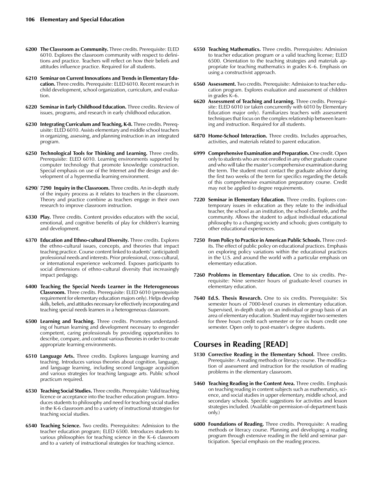- **6200 The Classroom as Community.** Three credits. Prerequisite: ELED 6010. Explores the classroom community with respect to definitions and practice. Teachers will reflect on how their beliefs and attitudes influence practice. Required for all students.
- **6210 Seminar on Current Innovations and Trends in Elementary Education.** Three credits. Prerequisite: ELED 6010. Recent research in child development, school organization, curriculum, and evaluation.
- **6220 Seminar in Early Childhood Education.** Three credits. Review of issues, programs, and research in early childhood education.
- **6230 Integrating Curriculum and Teaching, K-8.** Three credits. Prerequisite: ELED 6010. Assists elementary and middle school teachers in organizing, assessing, and planning instruction in an integrated program.
- **6250 Technological Tools for Thinking and Learning.** Three credits. Prerequisite: ELED 6010. Learning environments supported by computer technology that promote knowledge construction. Special emphasis on use of the Internet and the design and development of a hypermedia learning environment.
- **6290/ 7290 Inquiry in the Classroom.** Three credits. An in-depth study of the inquiry process as it relates to teachers in the classroom. Theory and practice combine as teachers engage in their own research to improve classroom instruction.
- **6330 Play.** Three credits. Content provides educators with the social, emotional, and cognitive benefits of play for children's learning and development.
- **6370 Education and Ethno-cultural Diversity.** Three credits. Explores the ethno-cultural issues, concepts, and theories that impact teaching practice. Course content linked to students' (anticipated) professional needs and interests. Prior professional, cross-cultural, or international experience welcomed. Exposes participants to social dimensions of ethno-cultural diversity that increasingly impact pedagogy.
- **6400 Teaching the Special Needs Learner in the Heterogeneous Classroom.** Three credits. Prerequisite: ELED 6010 (prerequisite requirement for elementary education majors only). Helps develop skills, beliefs, and attitudes necessary for effectively incorporating and teaching special needs learners in a heterogeneous classroom.
- **6500 Learning and Teaching.** Three credits. Promotes understanding of human learning and development necessary to engender competent, caring professionals by providing opportunities to describe, compare, and contrast various theories in order to create appropriate learning environments.
- **6510 Language Arts.** Three credits. Explores language learning and teaching. Introduces various theories about cognition, language, and language learning, including second language acquisition and various strategies for teaching language arts. Public school practicum required.
- **6530 Teaching Social Studies.** Three credits. Prerequisite: Valid teaching licence or acceptance into the teacher education program. Introduces students to philosophy and need for teaching social studies in the K-6 classroom and to a variety of instructional strategies for teaching social studies.
- **6540 Teaching Science.** Two credits. Prerequisites: Admission to the teacher education program; ELED 6500. Introduces students to various philosophies for teaching science in the K–6 classroom and to a variety of instructional strategies for teaching science.
- **6550 Teaching Mathematics.** Three credits. Prerequisites: Admission to teacher education program or a valid teaching license; ELED 6500. Orientation to the teaching strategies and materials appropriate for teaching mathematics in grades K–6. Emphasis on using a constructivist approach.
- **6560 Assessment.** Two credits. Prerequisite: Admission to teacher education program. Explores evaluation and assessment of children in grades K–6.
- **6620 Assessment of Teaching and Learning.** Three credits. Prerequisite: ELED 6010 (or taken concurrently with 6010 by Elementary Education major only). Familiarizes teachers with assessment techniques that focus on the complex relationship between learning and instruction. Required for all students.
- **6870 Home-School Interaction.** Three credits. Includes approaches, activities, and materials related to parent education.
- **6999 Comprehensive Examination and Preparation.** One credit. Open only to students who are not enrolled in any other graduate course and who will take the master's comprehensive examination during the term. The student must contact the graduate advisor during the first two weeks of the term for specifics regarding the details of this comprehensive examination preparatory course. Credit may not be applied to degree requirements.
- **7220 Seminar in Elementary Education.** Three credits. Explores contemporary issues in education as they relate to the individual teacher, the school as an institution, the school clientele, and the community. Allows the student to adjust individual educational philosophy to a changing society and schools; gives contiguity to other educational experiences.
- **7250 From Policy to Practice in American Public Schools.** Three credits. The effect of public policy on educational practices. Emphasis on exploring policy variations within the educational practices in the U.S. and around the world with a particular emphasis on elementary education.
- **7260 Problems in Elementary Education.** One to six credits. Prerequisite: Nine semester hours of graduate-level courses in elementary education.
- **7640 Ed.S. Thesis Research.** One to six credits. Prerequisite: Six semester hours of 7000-level courses in elementary education. Supervised, in-depth study on an individual or group basis of an area of elementary education. Student may register two semesters for three hours credit each semester or for six hours credit one semester. Open only to post-master's degree students.

# **Courses in Reading [READ]**

- **5130 Corrective Reading in the Elementary School.** Three credits. Prerequisite: A reading methods or literacy course. The modification of assessment and instruction for the resolution of reading problems in the elementary classroom.
- **5460 Teaching Reading in the Content Area.** Three credits. Emphasis on teaching reading in content subjects such as mathematics, science, and social studies in upper elementary, middle school, and secondary schools. Specific suggestions for activities and lesson strategies included. (Available on permission-of-department basis only.)
- **6000 Foundations of Reading.** Three credits. Prerequisite: A reading methods or literacy course. Planning and developing a reading program through extensive reading in the field and seminar participation. Special emphasis on the reading process.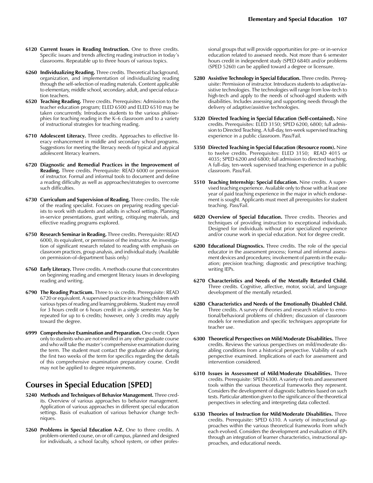- **6120 Current Issues in Reading Instruction.** One to three credits. Specific issues and trends affecting reading instruction in today's classrooms. Repeatable up to three hours of various topics.
- **6260 Individualizing Reading.** Three credits. Theoretical background, organization, and implementation of individualizing reading through the self-selection of reading materials. Content applicable to elementary, middle school, secondary, adult, and special education teachers.
- **6520 Teaching Reading.** Three credits. Prerequisites: Admission to the teacher education program; ELED 6500 and ELED 6510 may be taken concurrently. Introduces students to the various philosophies for teaching reading in the K–6 classroom and to a variety of instructional strategies for teaching reading.
- **6710 Adolescent Literacy.** Three credits. Approaches to effective literacy enhancement in middle and secondary school programs. Suggestions for meeting the literacy needs of typical and atypical adolescent literacy learners.
- **6720 Diagnostic and Remedial Practices in the Improvement of Reading.** Three credits. Prerequisite: READ 6000 or permission of instructor. Formal and informal tools to document and define a reading difficulty as well as approaches/strategies to overcome such difficulties.
- **6730 Curriculum and Supervision of Reading.** Three credits. The role of the reading specialist. Focuses on preparing reading specialists to work with students and adults in school settings. Planning in-service presentations, grant writing, critiquing materials, and effective reading programs explored.
- **6750 Research Seminar in Reading.** Three credits. Prerequisite: READ 6000, its equivalent, or permission of the instructor. An investigation of significant research related to reading with emphasis on classroom practices, group analysis, and individual study. (Available on permission-of-department basis only.)
- **6760 Early Literacy.** Three credits. A methods course that concentrates on beginning reading and emergent literacy issues in developing reading and writing.
- **6790 The Reading Practicum.** Three to six credits. Prerequisite: READ 6720 or equivalent. A supervised practice in teaching children with various types of reading and learning problems. Student may enroll for 3 hours credit or 6 hours credit in a single semester. May be repeated for up to 6 credits; however, only 3 credits may apply toward the degree.
- **6999 Comprehensive Examination and Preparation.** One credit. Open only to students who are not enrolled in any other graduate course and who will take the master's comprehensive examination during the term. The student must contact the graduate advisor during the first two weeks of the term for specifics regarding the details of this comprehensive examination preparatory course. Credit may not be applied to degree requirements.

# **Courses in Special Education [SPED]**

- **5240 Methods and Techniques of Behavior Management.** Three credits. Overview of various approaches to behavior management. Application of various approaches in different special education settings. Basis of evaluation of various behavior change techniques.
- **5260 Problems in Special Education A-Z.** One to three credits. A problem-oriented course, on or off campus, planned and designed for individuals, a school faculty, school system, or other profes-

sional groups that will provide opportunities for pre- or in-service education related to assessed needs. Not more than 6 semester hours credit in independent study (SPED 6840) and/or problems (SPED 5260) can be applied toward a degree or licensure.

- **5280 Assistive Technology in Special Education.** Three credits. Prerequisite: Permission of instructor. Introduces students to adaptive/assistive technologies. The technologies will range from low-tech to high-tech and apply to the needs of school-aged students with disabilities. Includes assessing and supporting needs through the delivery of adaptive/assistive technologies.
- **5320 Directed Teaching in Special Education (Self-contained).** Nine credits. Prerequisites: ELED 3150; SPED 6200, 6800; full admission to Directed Teaching. A full-day, ten-week supervised teaching experience in a public classroom. Pass/Fail.
- **5350 Directed Teaching in Special Education (Resource room).** Nine to twelve credits. Prerequisites: ELED 3150; READ 4015 or 4035; SPED 6200 and 6800; full admission to directed teaching. A full-day, ten-week supervised teaching experience in a public classroom. Pass/Fail.
- **5510 Teaching Internship: Special Education.** Nine credits. A supervised teaching experience. Available only to those with at least one year of paid teaching experience in the major in which endorsement is sought. Applicants must meet all prerequisites for student teaching. Pass/Fail.
- **6020 Overview of Special Education.** Three credits. Theories and techniques of providing instruction to exceptional individuals. Designed for individuals without prior specialized experience and/or course work in special education. Not for degree credit.
- **6200 Educational Diagnostics.** Three credits. The role of the special educator in the assessment process; formal and informal assessment devices and procedures; involvement of parents in the evaluation; precision teaching; diagnostic and prescriptive teaching; writing IEPs.
- **6270 Characteristics and Needs of the Mentally Retarded Child.** Three credits. Cognitive, affective, motor, social, and language development of the mentally retarded.
- **6280 Characteristics and Needs of the Emotionally Disabled Child.** Three credits. A survey of theories and research relative to emotional/behavioral problems of children; discussion of classroom models for remediation and specific techniques appropriate for teacher use.
- **6300 Theoretical Perspectives on Mild/Moderate Disabilities.** Three credits. Reviews the various perspectives on mild/moderate disabling conditions from a historical perspective. Viability of each perspective examined. Implications of each for assessment and intervention considered.
- **6310 Issues in Assessment of Mild/Moderate Disabilities.** Three credits. Prerequisite: SPED 6300. A variety of tests and assessment tools within the various theoretical frameworks they represent. Considers the development of diagnostic batteries based on such tests. Particular attention given to the significance of the theoretical perspectives in selecting and interpreting data collected.
- **6330 Theories of Instruction for Mild/Moderate Disabilities.** Three credits. Prerequisite: SPED 6310. A variety of instructional approaches within the various theoretical frameworks from which each evolved. Considers the development and evaluation of IEPs through an integration of learner characteristics, instructional approaches, and educational needs.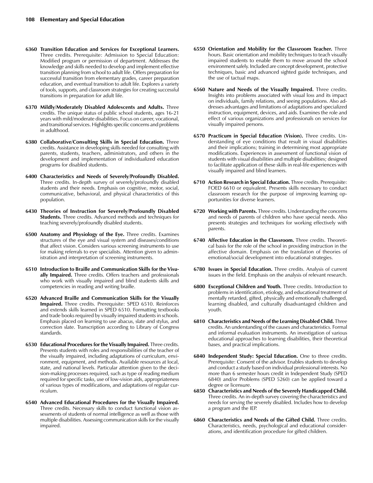- **6360 Transition Education and Services for Exceptional Learners.** Three credits. Prerequisite: Admission to Special Education: Modified program or permission of department. Addresses the knowledge and skills needed to develop and implement effective transition planning from school to adult life. Offers preparation for successful transition from elementary grades, career preparation education, and eventual transition to adult life. Explores a variety of tools, supports, and classroom strategies for creating successful transitions in preparation for adult life.
- **6370 Mildly/Moderately Disabled Adolescents and Adults.** Three credits. The unique status of public school students, ages 16-21 years with mild/moderate disabilities. Focus on career, vocational, and transitional services. Highlights specific concerns and problems in adulthood.
- **6380 Collaborative/Consulting Skills in Special Education.** Three credits. Assistance in developing skills needed for consulting with parents, students, teachers, administrators, and others in the development and implementation of individualized education programs for disabled students.
- **6400 Characteristics and Needs of Severely/Profoundly Disabled.** Three credits. In-depth survey of severely/profoundly disabled students and their needs. Emphasis on cognitive, motor, social, communicative, behavioral, and physical characteristics of this population.
- **6430 Theories of Instruction for Severely/Profoundly Disabled Students.** Three credits. Advanced methods and techniques for teaching severely/profoundly disabled students.
- **6500 Anatomy and Physiology of the Eye.** Three credits. Examines structures of the eye and visual system and diseases/conditions that affect vision. Considers various screening instruments to use for making referrals to eye specialists. Attention given to administration and interpretation of screening instruments.
- **6510 Introduction to Braille and Communication Skills for the Visually Impaired.** Three credits. Offers teachers and professionals who work with visually impaired and blind students skills and competencies in reading and writing braille.
- **6520 Advanced Braille and Communication Skills for the Visually Impaired.** Three credits. Prerequisite: SPED 6510. Reinforces and extends skills learned in SPED 6510. Formatting textbooks and trade books required by visually impaired students in schools. Emphasis placed on learning to use abacus, slate and stylus, and correction slate. Transcription according to Library of Congress standards.
- **6530 Educational Procedures for the Visually Impaired.** Three credits. Presents students with roles and responsibilities of the teacher of the visually impaired, including adaptations of curriculum, environment, equipment, and methods. Available resources at local, state, and national levels. Particular attention given to the decision-making processes required, such as type of reading medium required for specific tasks, use of low-vision aids, appropriateness of various types of modifications, and adaptations of regular curriculum.
- **6540 Advanced Educational Procedures for the Visually Impaired.**  Three credits. Necessary skills to conduct functional vision assessments of students of normal intelligence as well as those with multiple disabilities. Assessing communication skills for the visually impaired.
- **6550 Orientation and Mobility for the Classroom Teacher.** Three hours. Basic orientation and mobility techniques to teach visually impaired students to enable them to move around the school environment safely. Included are concept development, protective techniques, basic and advanced sighted guide techniques, and the use of tactual maps.
- **6560 Nature and Needs of the Visually Impaired.** Three credits. Insights into problems associated with visual loss and its impact on individuals, family relations, and seeing populations. Also addresses advantages and limitations of adaptations and specialized instruction, equipment, devices, and aids. Examines the role and effect of various organizations and professionals on services for visually impaired persons.
- **6570 Practicum in Special Education (Vision).** Three credits. Understanding of eye conditions that result in visual disabilities and their implications; training in determining most appropriate modifications. Experiences in assessment of functional vision of students with visual disabilities and multiple disabilities; designed to facilitate application of these skills in real-life experiences with visually impaired and blind learners.
- **6710 Action Research in Special Education.** Three credits. Prerequisite: FOED 6610 or equivalent. Presents skills necessary to conduct classroom research for the purpose of improving learning opportunities for diverse learners.
- **6720 Working with Parents.** Three credits. Understanding the concerns and needs of parents of children who have special needs. Also presents strategies and techniques for working effectively with parents.
- **6740 Affective Education in the Classroom.** Three credits. Theoretical basis for the role of the school in providing instruction in the affective domain. Emphasis on the translation of theories of emotional/social development into educational strategies.
- **6780 Issues in Special Education.** Three credits. Analysis of current issues in the field. Emphasis on the analysis of relevant research.
- **6800 Exceptional Children and Youth.** Three credits. Introduction to problems in identification, etiology, and educational treatment of mentally retarded, gifted, physically and emotionally challenged, learning disabled, and culturally disadvantaged children and youth.
- **6810 Characteristics and Needs of the Learning Disabled Child.** Three credits. An understanding of the causes and characteristics. Formal and informal evaluation instruments. An investigation of various educational approaches to learning disabilities, their theoretical bases, and practical implications.
- **6840 Independent Study: Special Education.** One to three credits. Prerequisite: Consent of the advisor. Enables students to develop and conduct a study based on individual professional interests. No more than 6 semester hours credit in Independent Study (SPED 6840) and/or Problems (SPED 5260) can be applied toward a degree or licensure.
- **6850 Characteristics and Needs of the Severely Handicapped Child.** Three credits. An in-depth survey covering the characteristics and needs for serving the severely disabled. Includes how to develop a program and the IEP.
- **6860 Characteristics and Needs of the Gifted Child.** Three credits. Characteristics, needs, psychological and educational considerations, and identification procedure for gifted children.